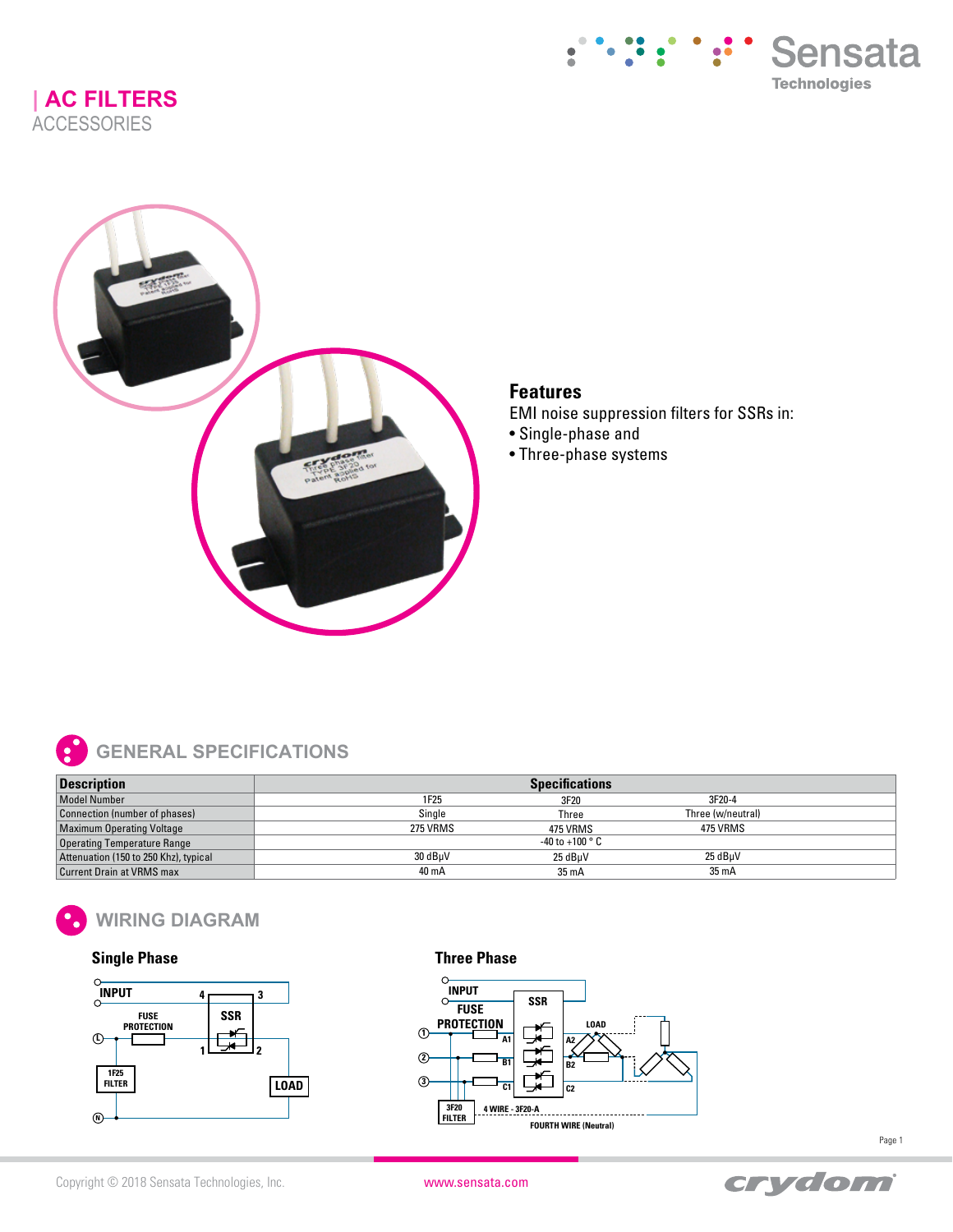**| AC FILTERS ACCESSORIES** 





## **Features**

EMI noise suppression filters for SSRs in:

- Single-phase and
- Three-phase systems



| <b>Description</b>                    | <b>Specifications</b> |                          |                   |  |
|---------------------------------------|-----------------------|--------------------------|-------------------|--|
| <b>Model Number</b>                   | 1F25                  | 3F20                     | 3F20-4            |  |
| Connection (number of phases)         | Single                | Three                    | Three (w/neutral) |  |
| <b>Maximum Operating Voltage</b>      | 275 VRMS              | 475 VRMS                 | 475 VRMS          |  |
| <b>Operating Temperature Range</b>    |                       | -40 to +100 $^{\circ}$ C |                   |  |
| Attenuation (150 to 250 Khz), typical | 30 dBuV               | 25 dBuV                  | 25 dBuV           |  |
| <b>Current Drain at VRMS max</b>      | 40 mA                 | $35 \text{ mA}$          | 35 mA             |  |



## **Single Phase**



## **Three Phase**





Page 1